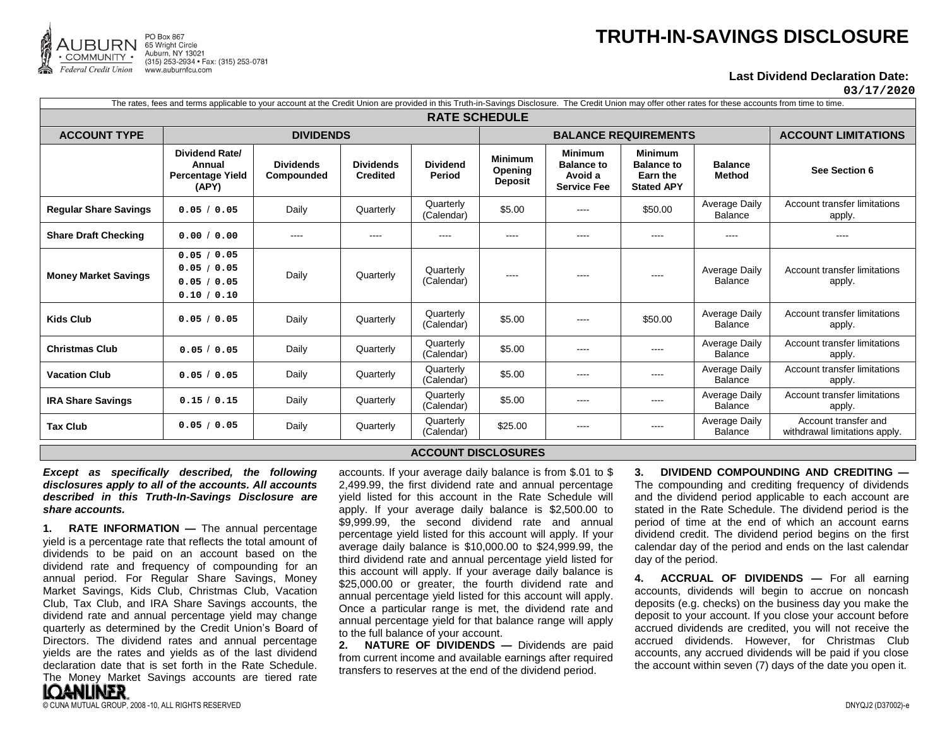## **TRUTH-IN-SAVINGS DISCLOSURE**



## **Last Dividend Declaration Date:**

**03/17/2020**

| The rates, fees and terms applicable to your account at the Credit Union are provided in this Truth-in-Savings Disclosure. The Credit Union may offer other rates for these accounts from time to time. |                                                                     |                                |                                     |                                  |                                             |                                                                      |                                                                      |                                 |                                                       |
|---------------------------------------------------------------------------------------------------------------------------------------------------------------------------------------------------------|---------------------------------------------------------------------|--------------------------------|-------------------------------------|----------------------------------|---------------------------------------------|----------------------------------------------------------------------|----------------------------------------------------------------------|---------------------------------|-------------------------------------------------------|
| <b>RATE SCHEDULE</b>                                                                                                                                                                                    |                                                                     |                                |                                     |                                  |                                             |                                                                      |                                                                      |                                 |                                                       |
| <b>ACCOUNT TYPE</b>                                                                                                                                                                                     | <b>DIVIDENDS</b>                                                    |                                |                                     |                                  | <b>BALANCE REQUIREMENTS</b>                 |                                                                      |                                                                      |                                 | <b>ACCOUNT LIMITATIONS</b>                            |
|                                                                                                                                                                                                         | <b>Dividend Rate/</b><br>Annual<br><b>Percentage Yield</b><br>(APY) | <b>Dividends</b><br>Compounded | <b>Dividends</b><br><b>Credited</b> | <b>Dividend</b><br><b>Period</b> | <b>Minimum</b><br>Opening<br><b>Deposit</b> | <b>Minimum</b><br><b>Balance to</b><br>Avoid a<br><b>Service Fee</b> | <b>Minimum</b><br><b>Balance to</b><br>Earn the<br><b>Stated APY</b> | <b>Balance</b><br><b>Method</b> | <b>See Section 6</b>                                  |
| <b>Regular Share Savings</b>                                                                                                                                                                            | 0.05 / 0.05                                                         | Daily                          | Quarterly                           | Quarterly<br>(Calendar)          | \$5.00                                      | ----                                                                 | \$50.00                                                              | Average Daily<br><b>Balance</b> | <b>Account transfer limitations</b><br>apply.         |
| <b>Share Draft Checking</b>                                                                                                                                                                             | 0.00 / 0.00                                                         | $- - - -$                      | ----                                | ----                             | ----                                        | ----                                                                 | $---$                                                                | $- - - -$                       | ----                                                  |
| <b>Money Market Savings</b>                                                                                                                                                                             | 0.05 / 0.05<br>0.05 / 0.05<br>0.05 / 0.05<br>0.10 / 0.10            | Daily                          | Quarterly                           | Quarterly<br>(Calendar)          | ----                                        | ----                                                                 |                                                                      | Average Daily<br>Balance        | Account transfer limitations<br>apply.                |
| <b>Kids Club</b>                                                                                                                                                                                        | 0.05 / 0.05                                                         | Daily                          | Quarterly                           | Quarterly<br>(Calendar)          | \$5.00                                      | ----                                                                 | \$50.00                                                              | Average Daily<br><b>Balance</b> | Account transfer limitations<br>apply.                |
| <b>Christmas Club</b>                                                                                                                                                                                   | 0.05 / 0.05                                                         | Daily                          | Quarterly                           | Quarterly<br>(Calendar)          | \$5.00                                      | ----                                                                 | $- - - -$                                                            | Average Daily<br>Balance        | <b>Account transfer limitations</b><br>apply.         |
| <b>Vacation Club</b>                                                                                                                                                                                    | 0.05 / 0.05                                                         | Daily                          | Quarterly                           | Quarterly<br>(Calendar)          | \$5.00                                      | ----                                                                 | ----                                                                 | Average Daily<br><b>Balance</b> | Account transfer limitations<br>apply.                |
| <b>IRA Share Savings</b>                                                                                                                                                                                | 0.15 / 0.15                                                         | Daily                          | Quarterly                           | Quarterly<br>(Calendar)          | \$5.00                                      | ----                                                                 | ----                                                                 | Average Daily<br>Balance        | <b>Account transfer limitations</b><br>apply.         |
| <b>Tax Club</b>                                                                                                                                                                                         | 0.05 / 0.05                                                         | Daily                          | Quarterly                           | Quarterly<br>(Calendar)          | \$25.00                                     | ----                                                                 | $- - - -$                                                            | Average Daily<br><b>Balance</b> | Account transfer and<br>withdrawal limitations apply. |

## **ACCOUNT DISCLOSURES**

*Except as specifically described, the following disclosures apply to all of the accounts. All accounts described in this Truth-In-Savings Disclosure are share accounts.* 

**1. RATE INFORMATION —** The annual percentage yield is a percentage rate that reflects the total amount of dividends to be paid on an account based on the dividend rate and frequency of compounding for an annual period. For Regular Share Savings, Money Market Savings, Kids Club, Christmas Club, Vacation Club, Tax Club, and IRA Share Savings accounts, the dividend rate and annual percentage yield may change quarterly as determined by the Credit Union's Board of Directors. The dividend rates and annual percentage yields are the rates and yields as of the last dividend declaration date that is set forth in the Rate Schedule. The Money Market Savings accounts are tiered rate **IQANLINER** 

accounts. If your average daily balance is from \$.01 to \$ 2,499.99, the first dividend rate and annual percentage yield listed for this account in the Rate Schedule will apply. If your average daily balance is \$2,500.00 to \$9,999.99, the second dividend rate and annual percentage yield listed for this account will apply. If your average daily balance is \$10,000.00 to \$24,999.99, the third dividend rate and annual percentage yield listed for this account will apply. If your average daily balance is \$25,000.00 or greater, the fourth dividend rate and annual percentage yield listed for this account will apply. Once a particular range is met, the dividend rate and annual percentage yield for that balance range will apply to the full balance of your account.

**2. NATURE OF DIVIDENDS —** Dividends are paid from current income and available earnings after required transfers to reserves at the end of the dividend period.

**3. DIVIDEND COMPOUNDING AND CREDITING —** The compounding and crediting frequency of dividends and the dividend period applicable to each account are stated in the Rate Schedule. The dividend period is the period of time at the end of which an account earns dividend credit. The dividend period begins on the first calendar day of the period and ends on the last calendar day of the period.

**4. ACCRUAL OF DIVIDENDS —** For all earning accounts, dividends will begin to accrue on noncash deposits (e.g. checks) on the business day you make the deposit to your account. If you close your account before accrued dividends are credited, you will not receive the accrued dividends. However, for Christmas Club accounts, any accrued dividends will be paid if you close the account within seven (7) days of the date you open it.